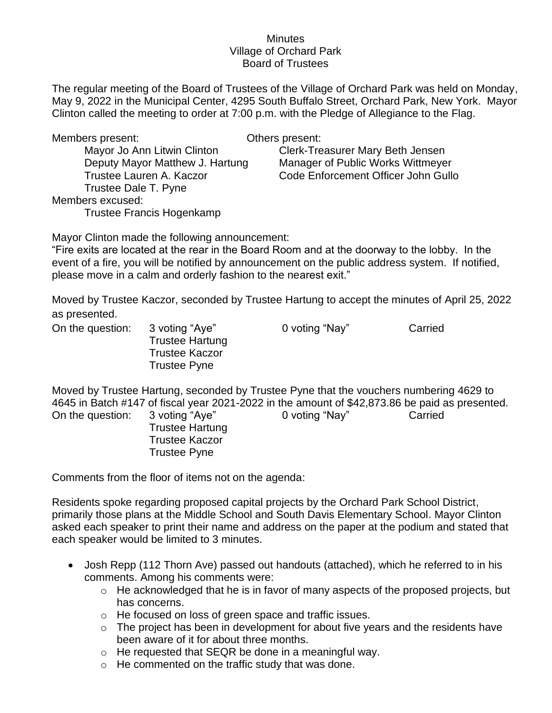## **Minutes** Village of Orchard Park Board of Trustees

The regular meeting of the Board of Trustees of the Village of Orchard Park was held on Monday, May 9, 2022 in the Municipal Center, 4295 South Buffalo Street, Orchard Park, New York. Mayor Clinton called the meeting to order at 7:00 p.m. with the Pledge of Allegiance to the Flag.

Members present: Others present:

Trustee Dale T. Pyne Members excused: Trustee Francis Hogenkamp

Mayor Jo Ann Litwin Clinton Case Clerk-Treasurer Mary Beth Jensen Deputy Mayor Matthew J. Hartung Manager of Public Works Wittmeyer Trustee Lauren A. Kaczor Code Enforcement Officer John Gullo

Mayor Clinton made the following announcement:

"Fire exits are located at the rear in the Board Room and at the doorway to the lobby. In the event of a fire, you will be notified by announcement on the public address system. If notified, please move in a calm and orderly fashion to the nearest exit."

Moved by Trustee Kaczor, seconded by Trustee Hartung to accept the minutes of April 25, 2022 as presented.

Trustee Hartung Trustee Kaczor Trustee Pyne

On the question: 3 voting "Aye" 0 voting "Nay" Carried

Moved by Trustee Hartung, seconded by Trustee Pyne that the vouchers numbering 4629 to 4645 in Batch #147 of fiscal year 2021-2022 in the amount of \$42,873.86 be paid as presented. On the question: 3 voting "Aye" 0 voting "Nay" Carried

> Trustee Hartung Trustee Kaczor Trustee Pyne

Comments from the floor of items not on the agenda:

Residents spoke regarding proposed capital projects by the Orchard Park School District, primarily those plans at the Middle School and South Davis Elementary School. Mayor Clinton asked each speaker to print their name and address on the paper at the podium and stated that each speaker would be limited to 3 minutes.

- Josh Repp (112 Thorn Ave) passed out handouts (attached), which he referred to in his comments. Among his comments were:
	- o He acknowledged that he is in favor of many aspects of the proposed projects, but has concerns.
	- o He focused on loss of green space and traffic issues.
	- $\circ$  The project has been in development for about five years and the residents have been aware of it for about three months.
	- o He requested that SEQR be done in a meaningful way.
	- o He commented on the traffic study that was done.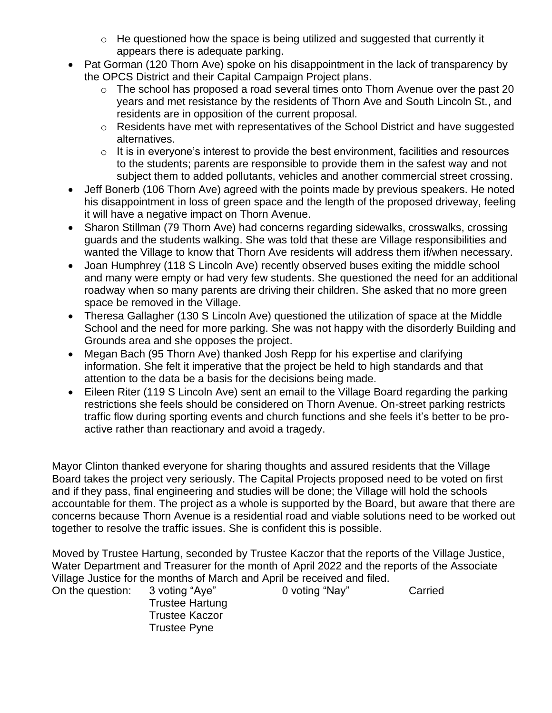- $\circ$  He questioned how the space is being utilized and suggested that currently it appears there is adequate parking.
- Pat Gorman (120 Thorn Ave) spoke on his disappointment in the lack of transparency by the OPCS District and their Capital Campaign Project plans.
	- o The school has proposed a road several times onto Thorn Avenue over the past 20 years and met resistance by the residents of Thorn Ave and South Lincoln St., and residents are in opposition of the current proposal.
	- o Residents have met with representatives of the School District and have suggested alternatives.
	- $\circ$  It is in everyone's interest to provide the best environment, facilities and resources to the students; parents are responsible to provide them in the safest way and not subject them to added pollutants, vehicles and another commercial street crossing.
- Jeff Bonerb (106 Thorn Ave) agreed with the points made by previous speakers. He noted his disappointment in loss of green space and the length of the proposed driveway, feeling it will have a negative impact on Thorn Avenue.
- Sharon Stillman (79 Thorn Ave) had concerns regarding sidewalks, crosswalks, crossing guards and the students walking. She was told that these are Village responsibilities and wanted the Village to know that Thorn Ave residents will address them if/when necessary.
- Joan Humphrey (118 S Lincoln Ave) recently observed buses exiting the middle school and many were empty or had very few students. She questioned the need for an additional roadway when so many parents are driving their children. She asked that no more green space be removed in the Village.
- Theresa Gallagher (130 S Lincoln Ave) questioned the utilization of space at the Middle School and the need for more parking. She was not happy with the disorderly Building and Grounds area and she opposes the project.
- Megan Bach (95 Thorn Ave) thanked Josh Repp for his expertise and clarifying information. She felt it imperative that the project be held to high standards and that attention to the data be a basis for the decisions being made.
- Eileen Riter (119 S Lincoln Ave) sent an email to the Village Board regarding the parking restrictions she feels should be considered on Thorn Avenue. On-street parking restricts traffic flow during sporting events and church functions and she feels it's better to be proactive rather than reactionary and avoid a tragedy.

Mayor Clinton thanked everyone for sharing thoughts and assured residents that the Village Board takes the project very seriously. The Capital Projects proposed need to be voted on first and if they pass, final engineering and studies will be done; the Village will hold the schools accountable for them. The project as a whole is supported by the Board, but aware that there are concerns because Thorn Avenue is a residential road and viable solutions need to be worked out together to resolve the traffic issues. She is confident this is possible.

Moved by Trustee Hartung, seconded by Trustee Kaczor that the reports of the Village Justice, Water Department and Treasurer for the month of April 2022 and the reports of the Associate Village Justice for the months of March and April be received and filed.

On the question: 3 voting "Aye" 0 voting "Nay" Carried Trustee Hartung Trustee Kaczor Trustee Pyne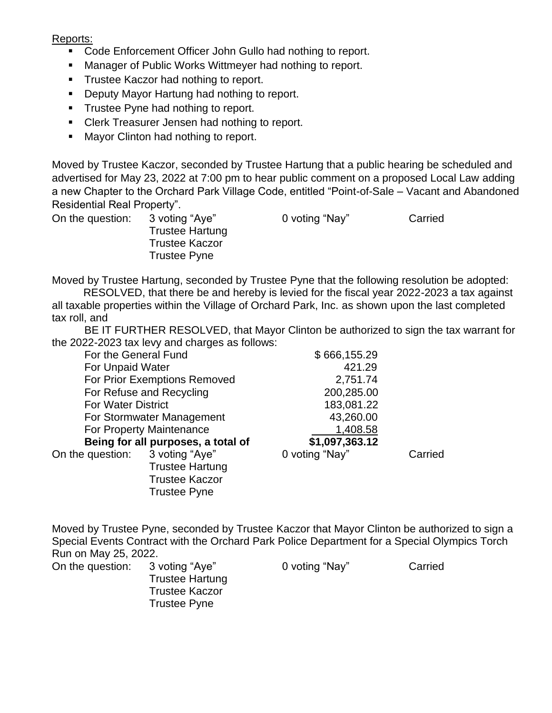Reports:

- Code Enforcement Officer John Gullo had nothing to report.
- Manager of Public Works Wittmeyer had nothing to report.
- **Trustee Kaczor had nothing to report.**
- Deputy Mayor Hartung had nothing to report.
- **•** Trustee Pyne had nothing to report.
- Clerk Treasurer Jensen had nothing to report.
- Mayor Clinton had nothing to report.

Moved by Trustee Kaczor, seconded by Trustee Hartung that a public hearing be scheduled and advertised for May 23, 2022 at 7:00 pm to hear public comment on a proposed Local Law adding a new Chapter to the Orchard Park Village Code, entitled "Point-of-Sale – Vacant and Abandoned Residential Real Property".

Trustee Hartung Trustee Kaczor Trustee Pyne

On the question: 3 voting "Aye" 0 voting "Nay" Carried

Moved by Trustee Hartung, seconded by Trustee Pyne that the following resolution be adopted:

RESOLVED, that there be and hereby is levied for the fiscal year 2022-2023 a tax against all taxable properties within the Village of Orchard Park, Inc. as shown upon the last completed tax roll, and

BE IT FURTHER RESOLVED, that Mayor Clinton be authorized to sign the tax warrant for the 2022-2023 tax levy and charges as follows:

| For the General Fund               |                        | \$666,155.29   |         |
|------------------------------------|------------------------|----------------|---------|
| For Unpaid Water                   |                        | 421.29         |         |
| For Prior Exemptions Removed       |                        | 2,751.74       |         |
| For Refuse and Recycling           |                        | 200,285.00     |         |
| <b>For Water District</b>          |                        | 183,081.22     |         |
| For Stormwater Management          |                        | 43,260.00      |         |
| For Property Maintenance           |                        | 1,408.58       |         |
| Being for all purposes, a total of |                        | \$1,097,363.12 |         |
| On the question: 3 voting "Aye"    |                        | 0 voting "Nay" | Carried |
|                                    | <b>Trustee Hartung</b> |                |         |
|                                    | <b>Trustee Kaczor</b>  |                |         |
|                                    | <b>Trustee Pyne</b>    |                |         |
|                                    |                        |                |         |

Moved by Trustee Pyne, seconded by Trustee Kaczor that Mayor Clinton be authorized to sign a Special Events Contract with the Orchard Park Police Department for a Special Olympics Torch Run on May 25, 2022.

On the question: 3 voting "Aye" 0 voting "Nay" Carried

Trustee Hartung Trustee Kaczor Trustee Pyne